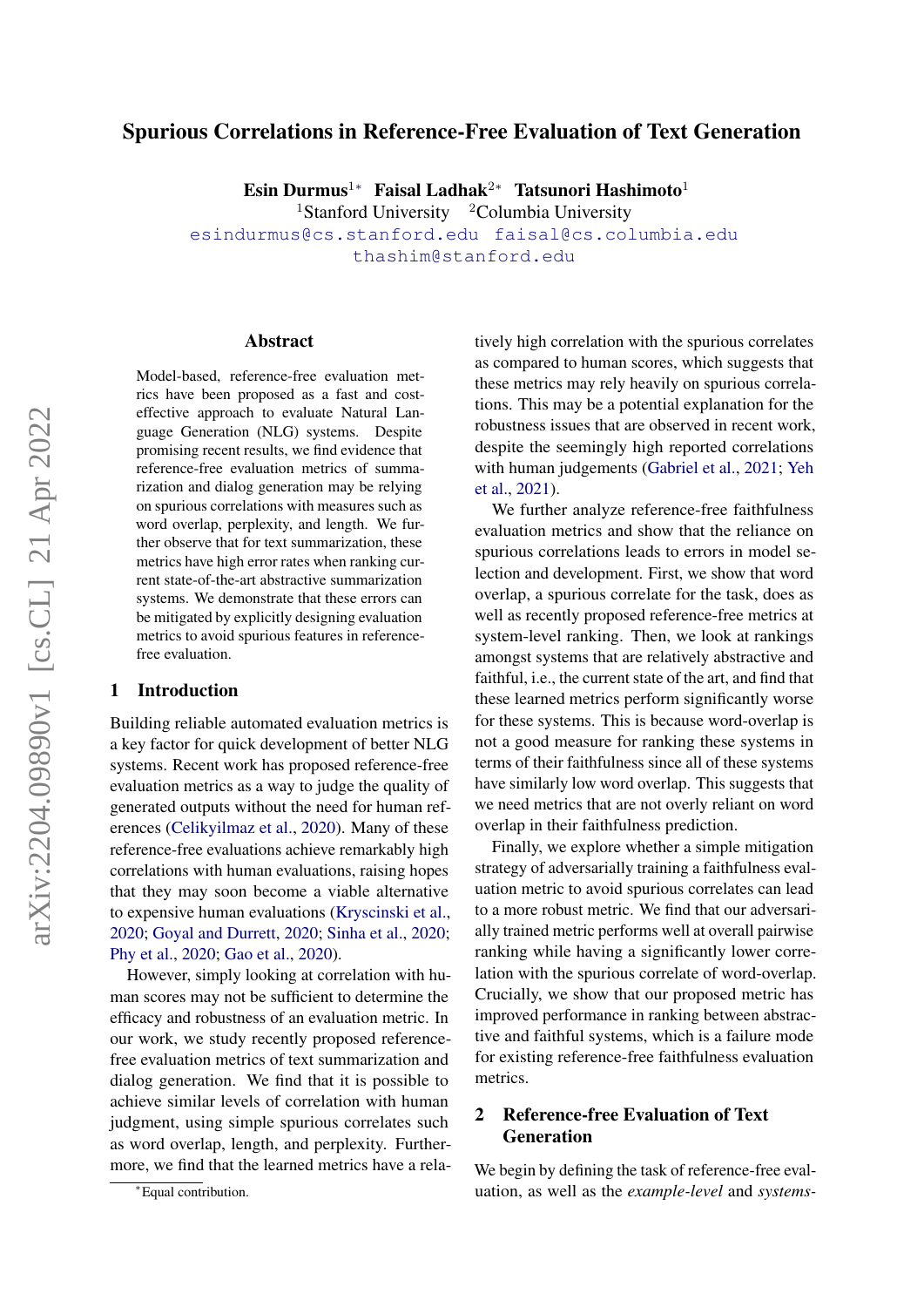# Spurious Correlations in Reference-Free Evaluation of Text Generation

Esin Durmus<sup>1</sup>\* Faisal Ladhak<sup>2</sup>\* Tatsunori Hashimoto<sup>1</sup> <sup>1</sup>Stanford University  $2$ Columbia University

[esindurmus@cs.stanford.edu](mailto:esindurmus@cs.stanford.edu) [faisal@cs.columbia.edu](mailto:faisal@cs.columbia.edu) [thashim@stanford.edu](mailto:thashim@stanford.edu)

#### Abstract

Model-based, reference-free evaluation metrics have been proposed as a fast and costeffective approach to evaluate Natural Language Generation (NLG) systems. Despite promising recent results, we find evidence that reference-free evaluation metrics of summarization and dialog generation may be relying on spurious correlations with measures such as word overlap, perplexity, and length. We further observe that for text summarization, these metrics have high error rates when ranking current state-of-the-art abstractive summarization systems. We demonstrate that these errors can be mitigated by explicitly designing evaluation metrics to avoid spurious features in referencefree evaluation.

## 1 Introduction

Building reliable automated evaluation metrics is a key factor for quick development of better NLG systems. Recent work has proposed reference-free evaluation metrics as a way to judge the quality of generated outputs without the need for human references [\(Celikyilmaz et al.,](#page-8-0) [2020\)](#page-8-0). Many of these reference-free evaluations achieve remarkably high correlations with human evaluations, raising hopes that they may soon become a viable alternative to expensive human evaluations [\(Kryscinski et al.,](#page-9-0) [2020;](#page-9-0) [Goyal and Durrett,](#page-9-1) [2020;](#page-9-1) [Sinha et al.,](#page-10-0) [2020;](#page-10-0) [Phy et al.,](#page-10-1) [2020;](#page-10-1) [Gao et al.,](#page-8-1) [2020\)](#page-8-1).

However, simply looking at correlation with human scores may not be sufficient to determine the efficacy and robustness of an evaluation metric. In our work, we study recently proposed referencefree evaluation metrics of text summarization and dialog generation. We find that it is possible to achieve similar levels of correlation with human judgment, using simple spurious correlates such as word overlap, length, and perplexity. Furthermore, we find that the learned metrics have a relatively high correlation with the spurious correlates as compared to human scores, which suggests that these metrics may rely heavily on spurious correlations. This may be a potential explanation for the robustness issues that are observed in recent work, despite the seemingly high reported correlations with human judgements [\(Gabriel et al.,](#page-8-2) [2021;](#page-8-2) [Yeh](#page-10-2) [et al.,](#page-10-2) [2021\)](#page-10-2).

We further analyze reference-free faithfulness evaluation metrics and show that the reliance on spurious correlations leads to errors in model selection and development. First, we show that word overlap, a spurious correlate for the task, does as well as recently proposed reference-free metrics at system-level ranking. Then, we look at rankings amongst systems that are relatively abstractive and faithful, i.e., the current state of the art, and find that these learned metrics perform significantly worse for these systems. This is because word-overlap is not a good measure for ranking these systems in terms of their faithfulness since all of these systems have similarly low word overlap. This suggests that we need metrics that are not overly reliant on word overlap in their faithfulness prediction.

Finally, we explore whether a simple mitigation strategy of adversarially training a faithfulness evaluation metric to avoid spurious correlates can lead to a more robust metric. We find that our adversarially trained metric performs well at overall pairwise ranking while having a significantly lower correlation with the spurious correlate of word-overlap. Crucially, we show that our proposed metric has improved performance in ranking between abstractive and faithful systems, which is a failure mode for existing reference-free faithfulness evaluation metrics.

# 2 Reference-free Evaluation of Text Generation

We begin by defining the task of reference-free evaluation, as well as the *example-level* and *systems-*

<sup>∗</sup>Equal contribution.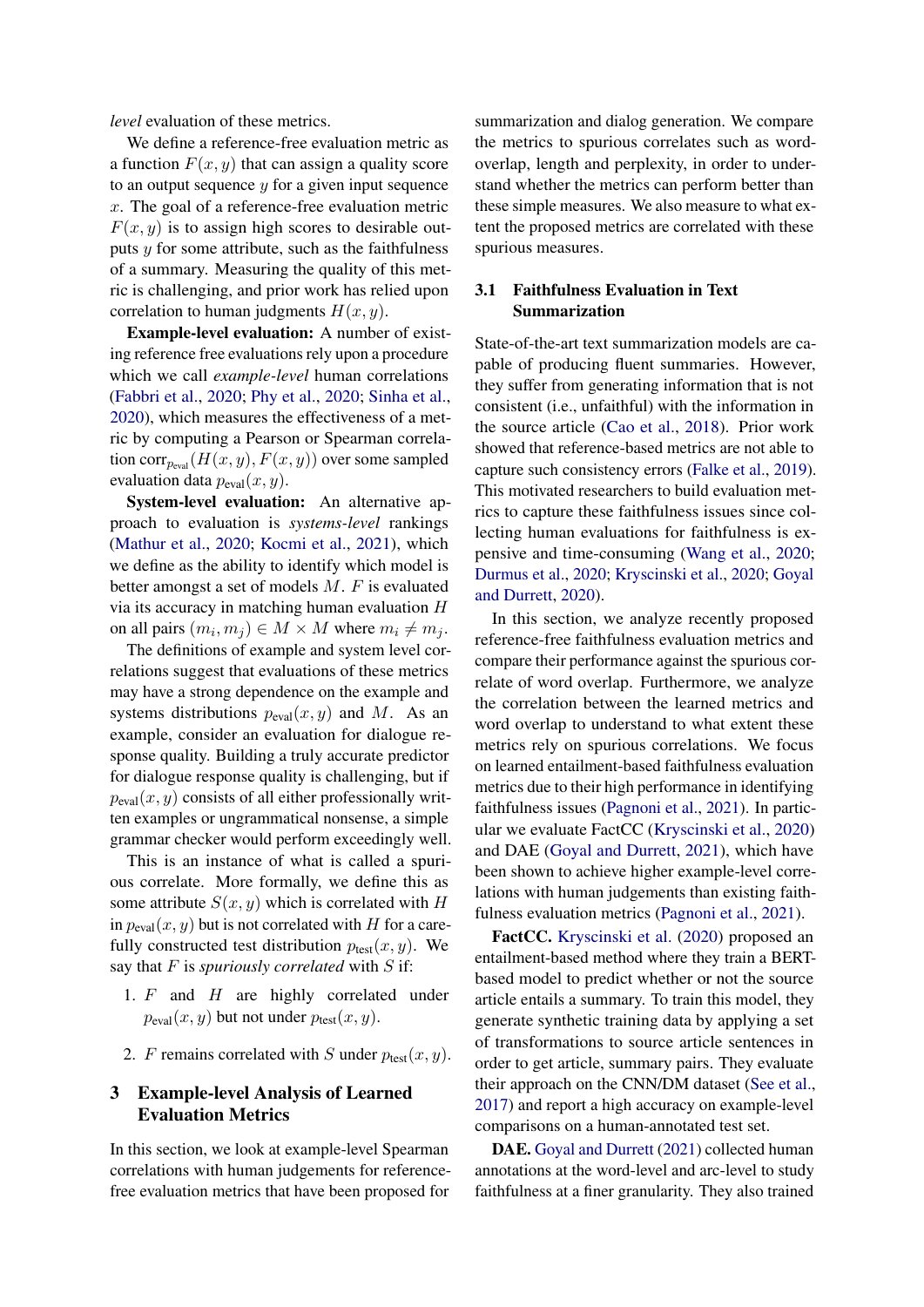*level* evaluation of these metrics.

We define a reference-free evaluation metric as a function  $F(x, y)$  that can assign a quality score to an output sequence  $y$  for a given input sequence x. The goal of a reference-free evaluation metric  $F(x, y)$  is to assign high scores to desirable outputs  $y$  for some attribute, such as the faithfulness of a summary. Measuring the quality of this metric is challenging, and prior work has relied upon correlation to human judgments  $H(x, y)$ .

Example-level evaluation: A number of existing reference free evaluations rely upon a procedure which we call *example-level* human correlations [\(Fabbri et al.,](#page-8-3) [2020;](#page-8-3) [Phy et al.,](#page-10-1) [2020;](#page-10-1) [Sinha et al.,](#page-10-0) [2020\)](#page-10-0), which measures the effectiveness of a metric by computing a Pearson or Spearman correlation  $corr_{p_{eval}}(H(x, y), F(x, y))$  over some sampled evaluation data  $p_{eval}(x, y)$ .

System-level evaluation: An alternative approach to evaluation is *systems-level* rankings [\(Mathur et al.,](#page-10-3) [2020;](#page-10-3) [Kocmi et al.,](#page-9-2) [2021\)](#page-9-2), which we define as the ability to identify which model is better amongst a set of models M. F is evaluated via its accuracy in matching human evaluation H on all pairs  $(m_i, m_j) \in M \times M$  where  $m_i \neq m_j$ .

The definitions of example and system level correlations suggest that evaluations of these metrics may have a strong dependence on the example and systems distributions  $p_{eval}(x, y)$  and M. As an example, consider an evaluation for dialogue response quality. Building a truly accurate predictor for dialogue response quality is challenging, but if  $p_{eval}(x, y)$  consists of all either professionally written examples or ungrammatical nonsense, a simple grammar checker would perform exceedingly well.

This is an instance of what is called a spurious correlate. More formally, we define this as some attribute  $S(x, y)$  which is correlated with H in  $p_{eval}(x, y)$  but is not correlated with H for a carefully constructed test distribution  $p_{\text{test}}(x, y)$ . We say that F is *spuriously correlated* with S if:

- 1.  $F$  and  $H$  are highly correlated under  $p_{eval}(x, y)$  but not under  $p_{test}(x, y)$ .
- 2. F remains correlated with S under  $p_{\text{test}}(x, y)$ .

# 3 Example-level Analysis of Learned Evaluation Metrics

In this section, we look at example-level Spearman correlations with human judgements for referencefree evaluation metrics that have been proposed for

summarization and dialog generation. We compare the metrics to spurious correlates such as wordoverlap, length and perplexity, in order to understand whether the metrics can perform better than these simple measures. We also measure to what extent the proposed metrics are correlated with these spurious measures.

### <span id="page-1-0"></span>3.1 Faithfulness Evaluation in Text Summarization

State-of-the-art text summarization models are capable of producing fluent summaries. However, they suffer from generating information that is not consistent (i.e., unfaithful) with the information in the source article [\(Cao et al.,](#page-8-4) [2018\)](#page-8-4). Prior work showed that reference-based metrics are not able to capture such consistency errors [\(Falke et al.,](#page-8-5) [2019\)](#page-8-5). This motivated researchers to build evaluation metrics to capture these faithfulness issues since collecting human evaluations for faithfulness is expensive and time-consuming [\(Wang et al.,](#page-10-4) [2020;](#page-10-4) [Durmus et al.,](#page-8-6) [2020;](#page-8-6) [Kryscinski et al.,](#page-9-0) [2020;](#page-9-0) [Goyal](#page-9-1) [and Durrett,](#page-9-1) [2020\)](#page-9-1).

In this section, we analyze recently proposed reference-free faithfulness evaluation metrics and compare their performance against the spurious correlate of word overlap. Furthermore, we analyze the correlation between the learned metrics and word overlap to understand to what extent these metrics rely on spurious correlations. We focus on learned entailment-based faithfulness evaluation metrics due to their high performance in identifying faithfulness issues [\(Pagnoni et al.,](#page-10-5) [2021\)](#page-10-5). In particular we evaluate FactCC [\(Kryscinski et al.,](#page-9-0) [2020\)](#page-9-0) and DAE [\(Goyal and Durrett,](#page-9-3) [2021\)](#page-9-3), which have been shown to achieve higher example-level correlations with human judgements than existing faithfulness evaluation metrics [\(Pagnoni et al.,](#page-10-5) [2021\)](#page-10-5).

FactCC. [Kryscinski et al.](#page-9-0) [\(2020\)](#page-9-0) proposed an entailment-based method where they train a BERTbased model to predict whether or not the source article entails a summary. To train this model, they generate synthetic training data by applying a set of transformations to source article sentences in order to get article, summary pairs. They evaluate their approach on the CNN/DM dataset [\(See et al.,](#page-10-6) [2017\)](#page-10-6) and report a high accuracy on example-level comparisons on a human-annotated test set.

DAE. Goval and Durrett [\(2021\)](#page-9-3) collected human annotations at the word-level and arc-level to study faithfulness at a finer granularity. They also trained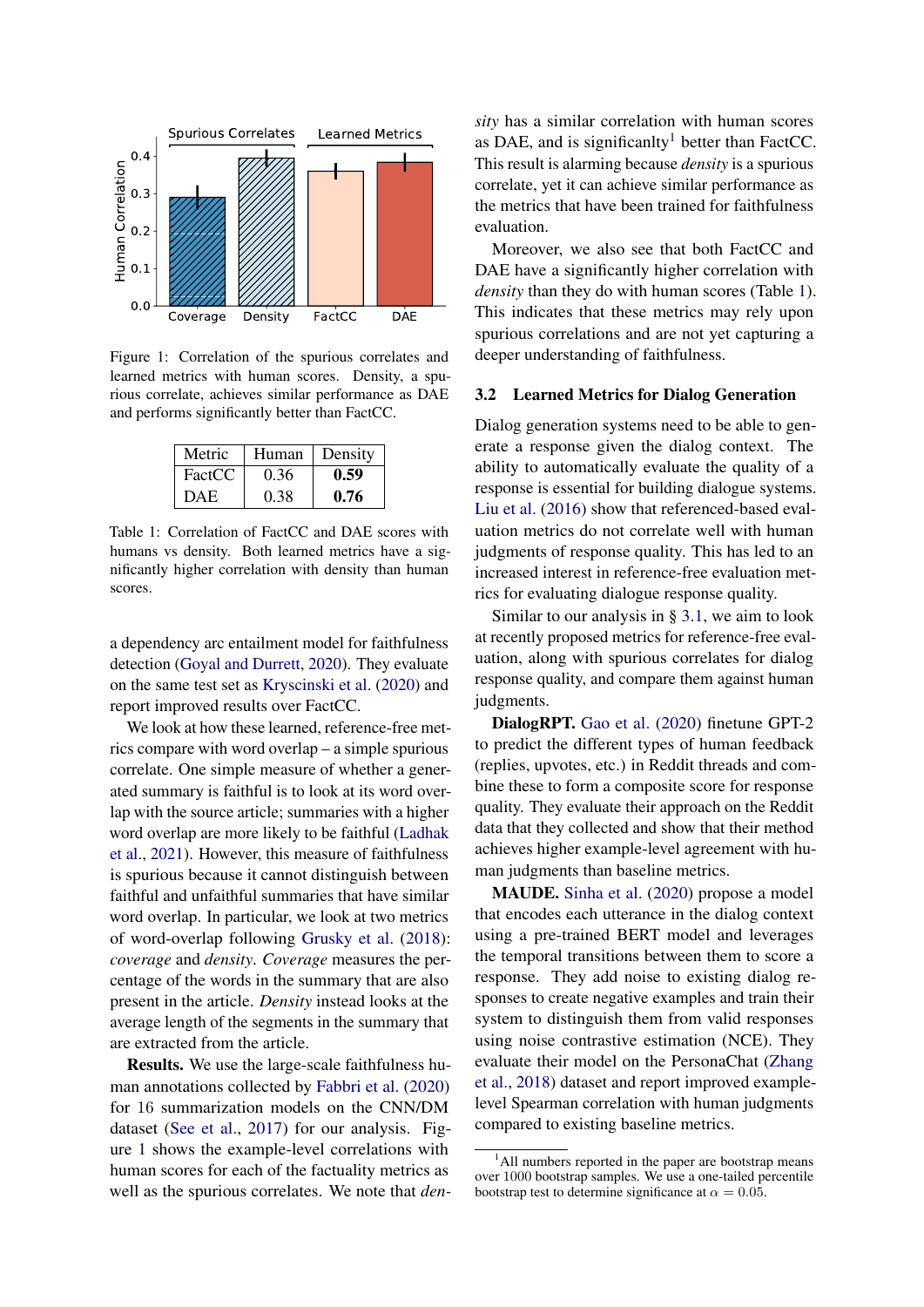<span id="page-2-0"></span>

Figure 1: Correlation of the spurious correlates and learned metrics with human scores. Density, a spurious correlate, achieves similar performance as DAE and performs significantly better than FactCC.

<span id="page-2-2"></span>

| Metric     | Human | Density |
|------------|-------|---------|
| FactCC     | 0.36  | 0.59    |
| <b>DAE</b> | 0.38  | 0.76    |

Table 1: Correlation of FactCC and DAE scores with humans vs density. Both learned metrics have a significantly higher correlation with density than human scores.

a dependency arc entailment model for faithfulness detection [\(Goyal and Durrett,](#page-9-1) [2020\)](#page-9-1). They evaluate on the same test set as [Kryscinski et al.](#page-9-0) [\(2020\)](#page-9-0) and report improved results over FactCC.

We look at how these learned, reference-free metrics compare with word overlap – a simple spurious correlate. One simple measure of whether a generated summary is faithful is to look at its word overlap with the source article; summaries with a higher word overlap are more likely to be faithful [\(Ladhak](#page-9-4) [et al.,](#page-9-4) [2021\)](#page-9-4). However, this measure of faithfulness is spurious because it cannot distinguish between faithful and unfaithful summaries that have similar word overlap. In particular, we look at two metrics of word-overlap following [Grusky et al.](#page-9-5) [\(2018\)](#page-9-5): *coverage* and *density*. *Coverage* measures the percentage of the words in the summary that are also present in the article. *Density* instead looks at the average length of the segments in the summary that are extracted from the article.

Results. We use the large-scale faithfulness human annotations collected by [Fabbri et al.](#page-8-3) [\(2020\)](#page-8-3) for 16 summarization models on the CNN/DM dataset [\(See et al.,](#page-10-6) [2017\)](#page-10-6) for our analysis. Figure [1](#page-2-0) shows the example-level correlations with human scores for each of the factuality metrics as well as the spurious correlates. We note that *den-* *sity* has a similar correlation with human scores as DAE, and is significanlty<sup>[1](#page-2-1)</sup> better than FactCC. This result is alarming because *density* is a spurious correlate, yet it can achieve similar performance as the metrics that have been trained for faithfulness evaluation.

Moreover, we also see that both FactCC and DAE have a significantly higher correlation with *density* than they do with human scores (Table [1\)](#page-2-2). This indicates that these metrics may rely upon spurious correlations and are not yet capturing a deeper understanding of faithfulness.

#### 3.2 Learned Metrics for Dialog Generation

Dialog generation systems need to be able to generate a response given the dialog context. The ability to automatically evaluate the quality of a response is essential for building dialogue systems. [Liu et al.](#page-9-6) [\(2016\)](#page-9-6) show that referenced-based evaluation metrics do not correlate well with human judgments of response quality. This has led to an increased interest in reference-free evaluation metrics for evaluating dialogue response quality.

Similar to our analysis in § [3.1,](#page-1-0) we aim to look at recently proposed metrics for reference-free evaluation, along with spurious correlates for dialog response quality, and compare them against human judgments.

DialogRPT. [Gao et al.](#page-8-1) [\(2020\)](#page-8-1) finetune GPT-2 to predict the different types of human feedback (replies, upvotes, etc.) in Reddit threads and combine these to form a composite score for response quality. They evaluate their approach on the Reddit data that they collected and show that their method achieves higher example-level agreement with human judgments than baseline metrics.

MAUDE. [Sinha et al.](#page-10-0) [\(2020\)](#page-10-0) propose a model that encodes each utterance in the dialog context using a pre-trained BERT model and leverages the temporal transitions between them to score a response. They add noise to existing dialog responses to create negative examples and train their system to distinguish them from valid responses using noise contrastive estimation (NCE). They evaluate their model on the PersonaChat [\(Zhang](#page-10-7) [et al.,](#page-10-7) [2018\)](#page-10-7) dataset and report improved examplelevel Spearman correlation with human judgments compared to existing baseline metrics.

<span id="page-2-1"></span><sup>&</sup>lt;sup>1</sup>All numbers reported in the paper are bootstrap means over 1000 bootstrap samples. We use a one-tailed percentile bootstrap test to determine significance at  $\alpha = 0.05$ .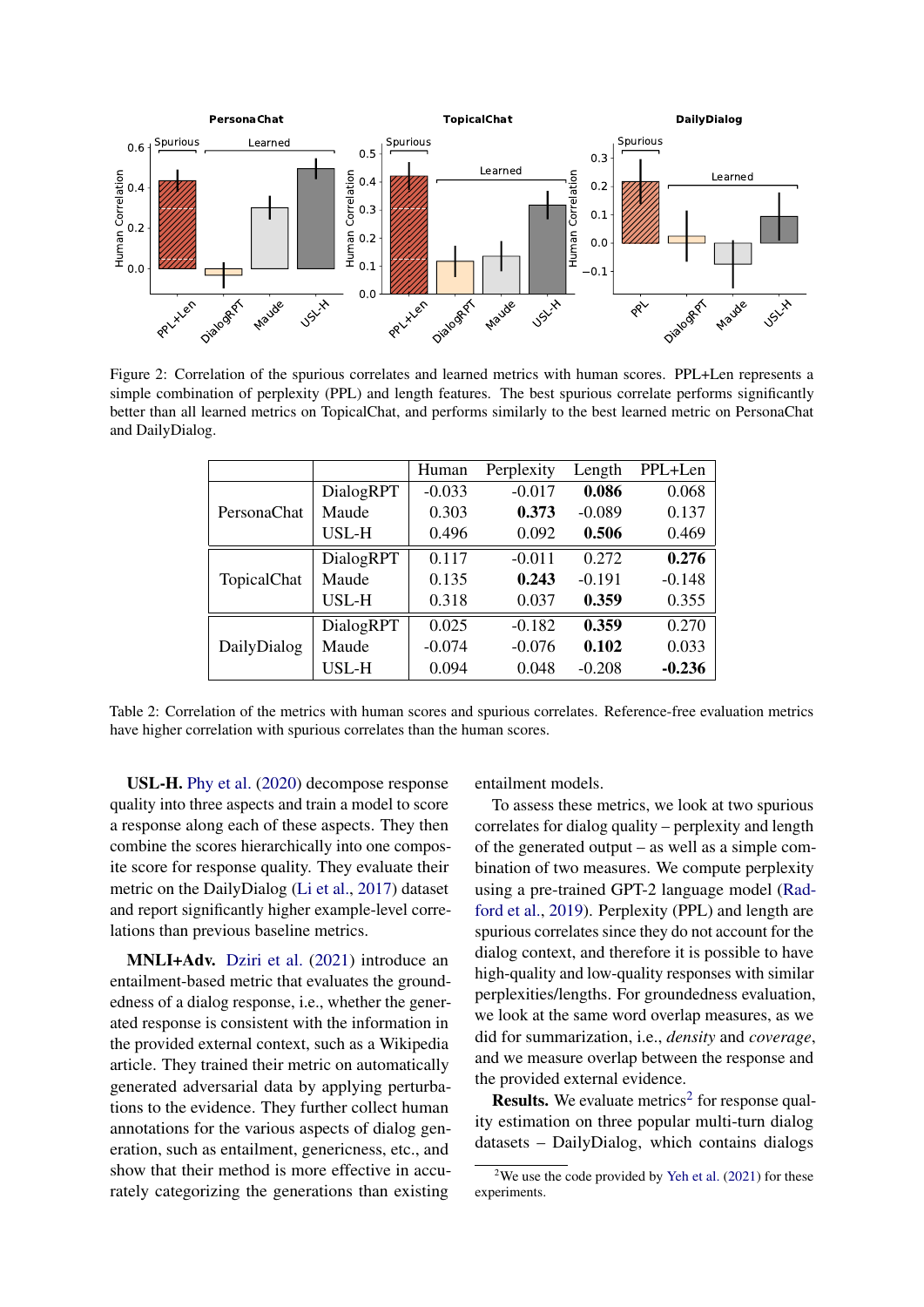<span id="page-3-1"></span>

<span id="page-3-2"></span>Figure 2: Correlation of the spurious correlates and learned metrics with human scores. PPL+Len represents a simple combination of perplexity (PPL) and length features. The best spurious correlate performs significantly better than all learned metrics on TopicalChat, and performs similarly to the best learned metric on PersonaChat and DailyDialog.

|             |           | Human    | Perplexity | Length   | PPL+Len  |
|-------------|-----------|----------|------------|----------|----------|
|             | DialogRPT | $-0.033$ | $-0.017$   | 0.086    | 0.068    |
| PersonaChat | Maude     | 0.303    | 0.373      | $-0.089$ | 0.137    |
|             | USL-H     | 0.496    | 0.092      | 0.506    | 0.469    |
|             | DialogRPT | 0.117    | $-0.011$   | 0.272    | 0.276    |
| TopicalChat | Maude     | 0.135    | 0.243      | $-0.191$ | $-0.148$ |
|             | USL-H     | 0.318    | 0.037      | 0.359    | 0.355    |
|             | DialogRPT | 0.025    | $-0.182$   | 0.359    | 0.270    |
| DailyDialog | Maude     | $-0.074$ | $-0.076$   | 0.102    | 0.033    |
|             | USL-H     | 0.094    | 0.048      | $-0.208$ | $-0.236$ |

Table 2: Correlation of the metrics with human scores and spurious correlates. Reference-free evaluation metrics have higher correlation with spurious correlates than the human scores.

USL-H. [Phy et al.](#page-10-1) [\(2020\)](#page-10-1) decompose response quality into three aspects and train a model to score a response along each of these aspects. They then combine the scores hierarchically into one composite score for response quality. They evaluate their metric on the DailyDialog [\(Li et al.,](#page-9-7) [2017\)](#page-9-7) dataset and report significantly higher example-level correlations than previous baseline metrics.

MNLI+Adv. [Dziri et al.](#page-8-7) [\(2021\)](#page-8-7) introduce an entailment-based metric that evaluates the groundedness of a dialog response, i.e., whether the generated response is consistent with the information in the provided external context, such as a Wikipedia article. They trained their metric on automatically generated adversarial data by applying perturbations to the evidence. They further collect human annotations for the various aspects of dialog generation, such as entailment, genericness, etc., and show that their method is more effective in accurately categorizing the generations than existing

entailment models.

To assess these metrics, we look at two spurious correlates for dialog quality – perplexity and length of the generated output – as well as a simple combination of two measures. We compute perplexity using a pre-trained GPT-2 language model [\(Rad](#page-10-8)[ford et al.,](#page-10-8) [2019\)](#page-10-8). Perplexity (PPL) and length are spurious correlates since they do not account for the dialog context, and therefore it is possible to have high-quality and low-quality responses with similar perplexities/lengths. For groundedness evaluation, we look at the same word overlap measures, as we did for summarization, i.e., *density* and *coverage*, and we measure overlap between the response and the provided external evidence.

**Results.** We evaluate metrics<sup>[2](#page-3-0)</sup> for response quality estimation on three popular multi-turn dialog datasets – DailyDialog, which contains dialogs

<span id="page-3-0"></span><sup>&</sup>lt;sup>2</sup>We use the code provided by [Yeh et al.](#page-10-2)  $(2021)$  for these experiments.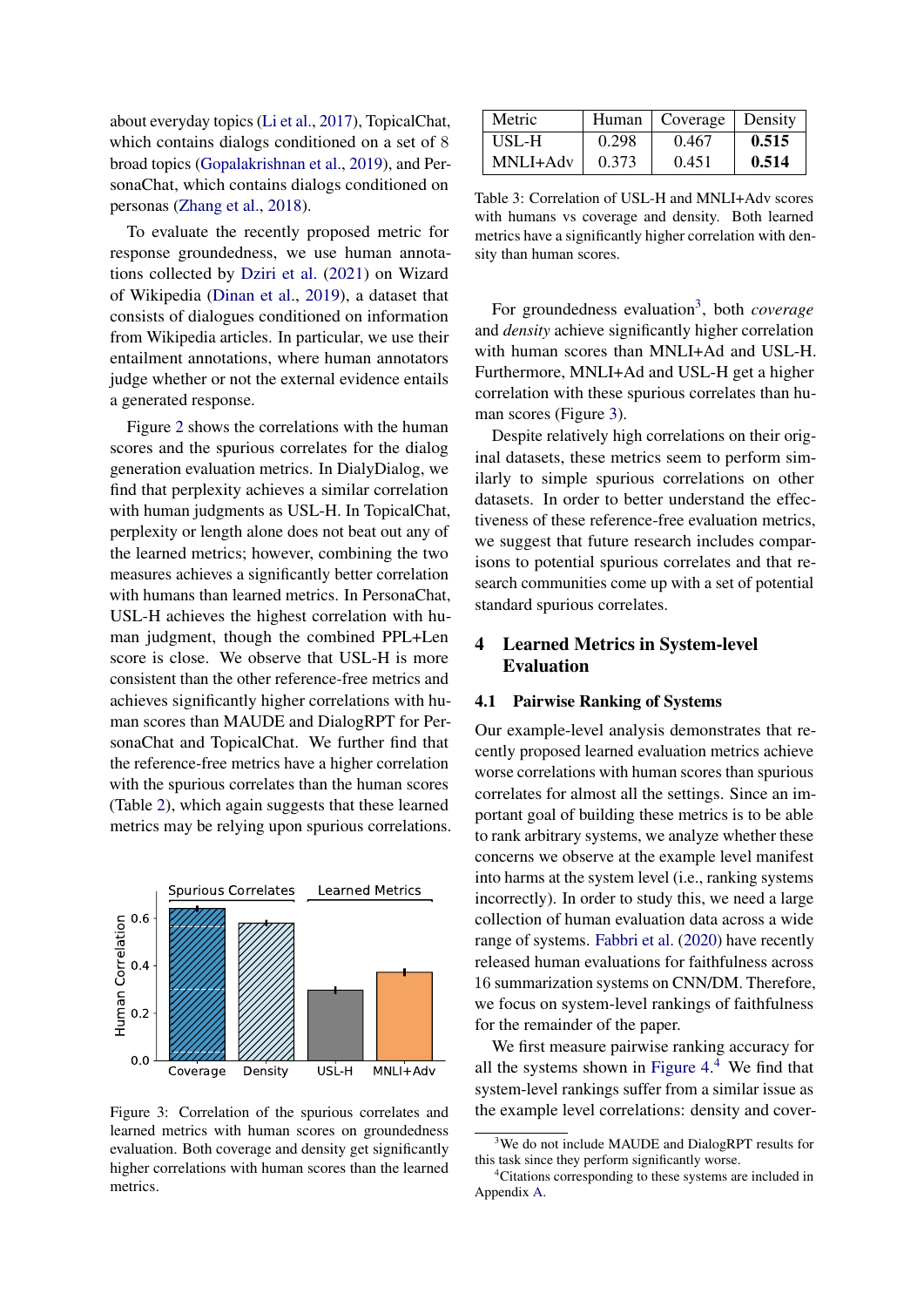about everyday topics [\(Li et al.,](#page-9-7) [2017\)](#page-9-7), TopicalChat, which contains dialogs conditioned on a set of 8 broad topics [\(Gopalakrishnan et al.,](#page-9-8) [2019\)](#page-9-8), and PersonaChat, which contains dialogs conditioned on personas [\(Zhang et al.,](#page-10-7) [2018\)](#page-10-7).

To evaluate the recently proposed metric for response groundedness, we use human annotations collected by [Dziri et al.](#page-8-7) [\(2021\)](#page-8-7) on Wizard of Wikipedia [\(Dinan et al.,](#page-8-8) [2019\)](#page-8-8), a dataset that consists of dialogues conditioned on information from Wikipedia articles. In particular, we use their entailment annotations, where human annotators judge whether or not the external evidence entails a generated response.

Figure [2](#page-3-1) shows the correlations with the human scores and the spurious correlates for the dialog generation evaluation metrics. In DialyDialog, we find that perplexity achieves a similar correlation with human judgments as USL-H. In TopicalChat, perplexity or length alone does not beat out any of the learned metrics; however, combining the two measures achieves a significantly better correlation with humans than learned metrics. In PersonaChat, USL-H achieves the highest correlation with human judgment, though the combined PPL+Len score is close. We observe that USL-H is more consistent than the other reference-free metrics and achieves significantly higher correlations with human scores than MAUDE and DialogRPT for PersonaChat and TopicalChat. We further find that the reference-free metrics have a higher correlation with the spurious correlates than the human scores (Table [2\)](#page-3-2), which again suggests that these learned metrics may be relying upon spurious correlations.

<span id="page-4-1"></span>

Figure 3: Correlation of the spurious correlates and learned metrics with human scores on groundedness evaluation. Both coverage and density get significantly higher correlations with human scores than the learned metrics.

| Metric   |       | Human   Coverage   Density |       |
|----------|-------|----------------------------|-------|
| USL-H    | 0.298 | 0.467                      | 0.515 |
| MNLI+Adv | 0.373 | 0.451                      | 0.514 |

Table 3: Correlation of USL-H and MNLI+Adv scores with humans vs coverage and density. Both learned metrics have a significantly higher correlation with density than human scores.

For groundedness evaluation<sup>[3](#page-4-0)</sup>, both *coverage* and *density* achieve significantly higher correlation with human scores than MNLI+Ad and USL-H. Furthermore, MNLI+Ad and USL-H get a higher correlation with these spurious correlates than human scores (Figure [3\)](#page-4-1).

Despite relatively high correlations on their original datasets, these metrics seem to perform similarly to simple spurious correlations on other datasets. In order to better understand the effectiveness of these reference-free evaluation metrics, we suggest that future research includes comparisons to potential spurious correlates and that research communities come up with a set of potential standard spurious correlates.

# <span id="page-4-3"></span>4 Learned Metrics in System-level Evaluation

#### 4.1 Pairwise Ranking of Systems

Our example-level analysis demonstrates that recently proposed learned evaluation metrics achieve worse correlations with human scores than spurious correlates for almost all the settings. Since an important goal of building these metrics is to be able to rank arbitrary systems, we analyze whether these concerns we observe at the example level manifest into harms at the system level (i.e., ranking systems incorrectly). In order to study this, we need a large collection of human evaluation data across a wide range of systems. [Fabbri et al.](#page-8-3) [\(2020\)](#page-8-3) have recently released human evaluations for faithfulness across 16 summarization systems on CNN/DM. Therefore, we focus on system-level rankings of faithfulness for the remainder of the paper.

We first measure pairwise ranking accuracy for all the systems shown in [Figure 4.](#page-5-0) [4](#page-4-2) We find that system-level rankings suffer from a similar issue as the example level correlations: density and cover-

<span id="page-4-0"></span><sup>&</sup>lt;sup>3</sup>We do not include MAUDE and DialogRPT results for this task since they perform significantly worse.

<span id="page-4-2"></span><sup>&</sup>lt;sup>4</sup>Citations corresponding to these systems are included in Appendix [A.](#page-11-0)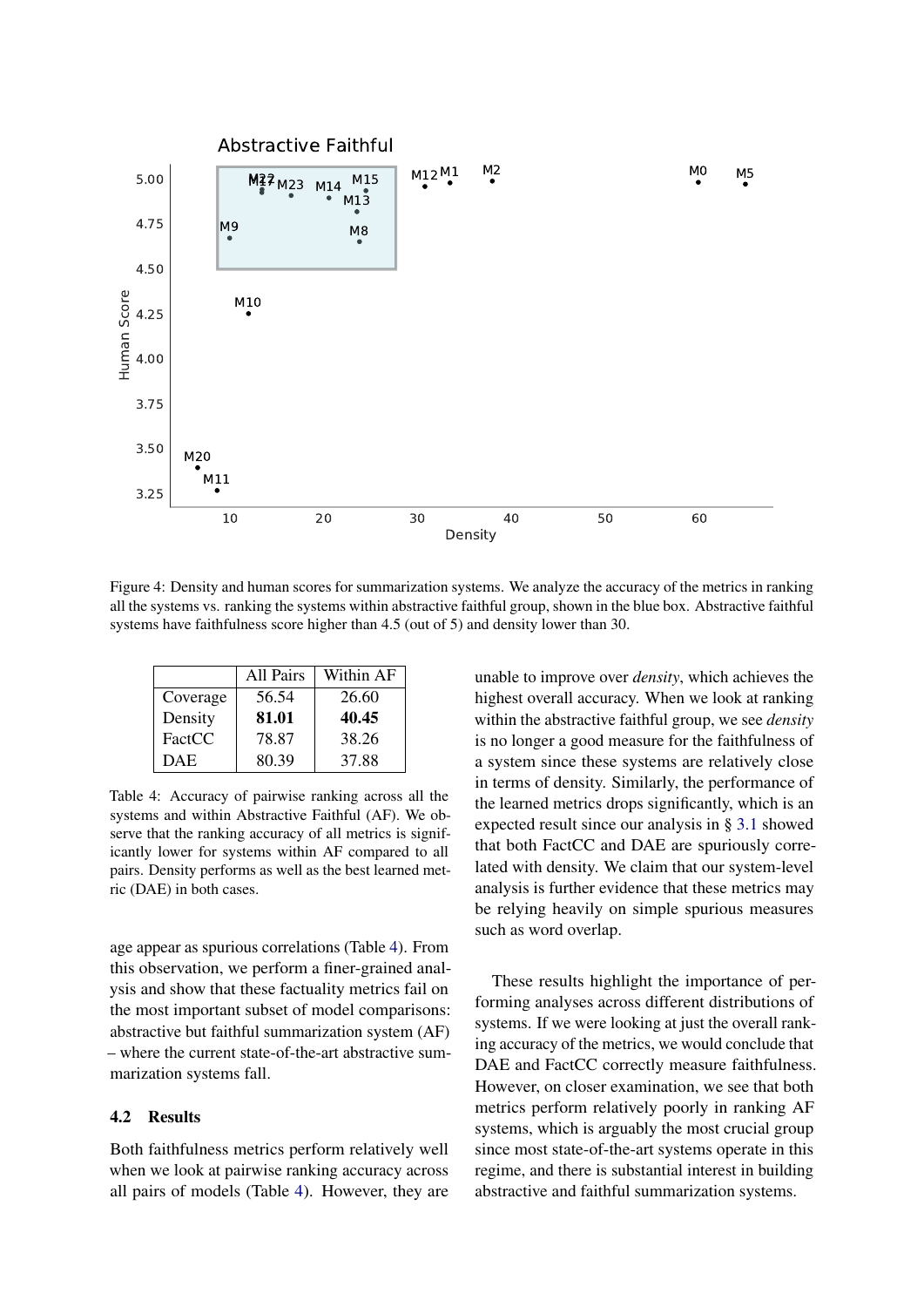<span id="page-5-0"></span>

Figure 4: Density and human scores for summarization systems. We analyze the accuracy of the metrics in ranking all the systems vs. ranking the systems within abstractive faithful group, shown in the blue box. Abstractive faithful systems have faithfulness score higher than 4.5 (out of 5) and density lower than 30.

<span id="page-5-1"></span>

|            | All Pairs | Within AF |
|------------|-----------|-----------|
| Coverage   | 56.54     | 26.60     |
| Density    | 81.01     | 40.45     |
| FactCC     | 78.87     | 38.26     |
| <b>DAE</b> | 80.39     | 37.88     |

Table 4: Accuracy of pairwise ranking across all the systems and within Abstractive Faithful (AF). We observe that the ranking accuracy of all metrics is significantly lower for systems within AF compared to all pairs. Density performs as well as the best learned metric (DAE) in both cases.

age appear as spurious correlations (Table [4\)](#page-5-1). From this observation, we perform a finer-grained analysis and show that these factuality metrics fail on the most important subset of model comparisons: abstractive but faithful summarization system (AF) – where the current state-of-the-art abstractive summarization systems fall.

### 4.2 Results

Both faithfulness metrics perform relatively well when we look at pairwise ranking accuracy across all pairs of models (Table [4\)](#page-5-1). However, they are unable to improve over *density*, which achieves the highest overall accuracy. When we look at ranking within the abstractive faithful group, we see *density* is no longer a good measure for the faithfulness of a system since these systems are relatively close in terms of density. Similarly, the performance of the learned metrics drops significantly, which is an expected result since our analysis in § [3.1](#page-1-0) showed that both FactCC and DAE are spuriously correlated with density. We claim that our system-level analysis is further evidence that these metrics may be relying heavily on simple spurious measures such as word overlap.

These results highlight the importance of performing analyses across different distributions of systems. If we were looking at just the overall ranking accuracy of the metrics, we would conclude that DAE and FactCC correctly measure faithfulness. However, on closer examination, we see that both metrics perform relatively poorly in ranking AF systems, which is arguably the most crucial group since most state-of-the-art systems operate in this regime, and there is substantial interest in building abstractive and faithful summarization systems.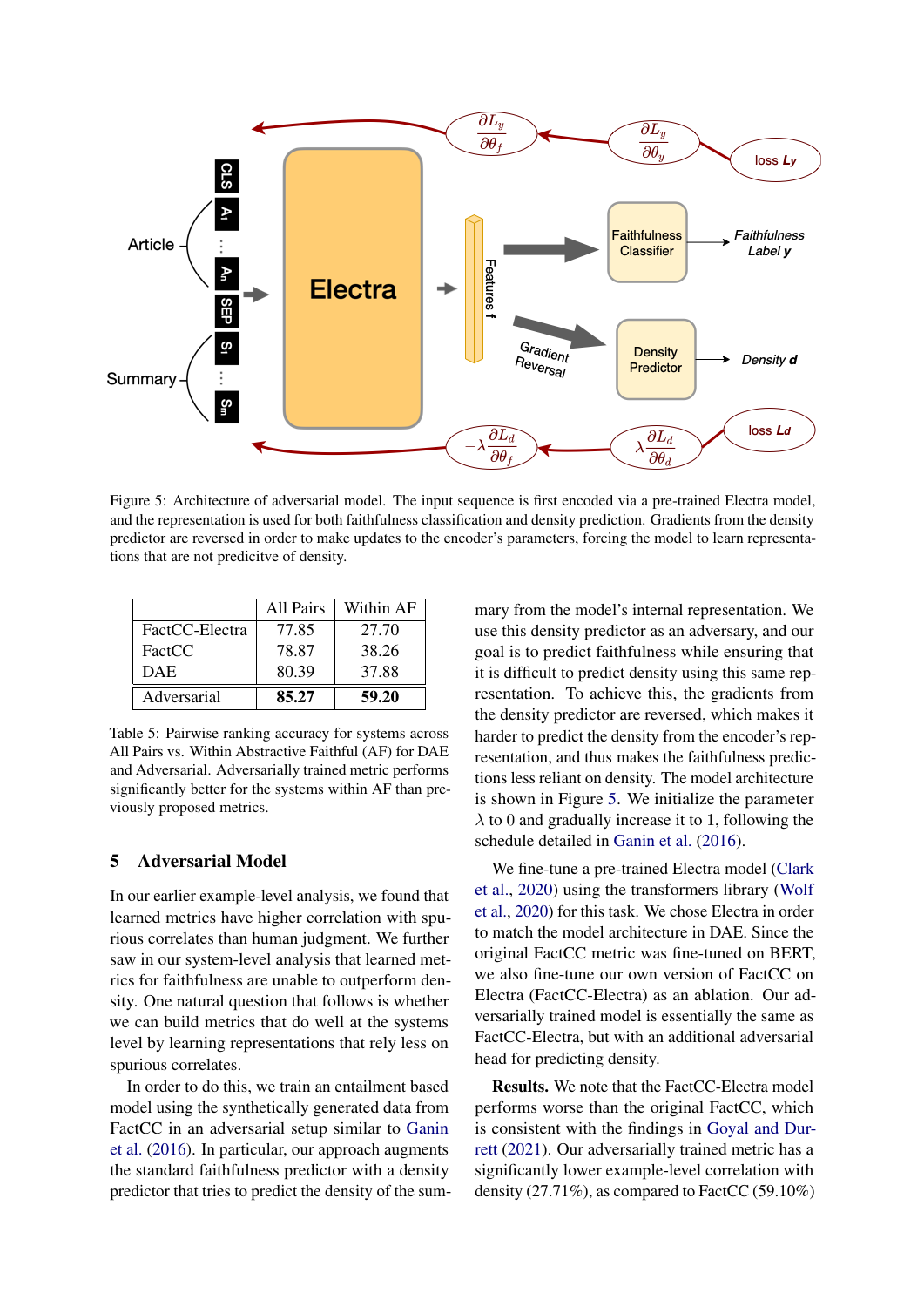<span id="page-6-0"></span>

Figure 5: Architecture of adversarial model. The input sequence is first encoded via a pre-trained Electra model, and the representation is used for both faithfulness classification and density prediction. Gradients from the density predictor are reversed in order to make updates to the encoder's parameters, forcing the model to learn representations that are not predicitve of density.

|                | All Pairs | Within AF |
|----------------|-----------|-----------|
| FactCC-Electra | 77.85     | 27.70     |
| FactCC         | 78.87     | 38.26     |
| DAE            | 80.39     | 37.88     |
| Adversarial    | 85.27     | 59.20     |

Table 5: Pairwise ranking accuracy for systems across All Pairs vs. Within Abstractive Faithful (AF) for DAE and Adversarial. Adversarially trained metric performs significantly better for the systems within AF than previously proposed metrics.

## 5 Adversarial Model

In our earlier example-level analysis, we found that learned metrics have higher correlation with spurious correlates than human judgment. We further saw in our system-level analysis that learned metrics for faithfulness are unable to outperform density. One natural question that follows is whether we can build metrics that do well at the systems level by learning representations that rely less on spurious correlates.

In order to do this, we train an entailment based model using the synthetically generated data from FactCC in an adversarial setup similar to [Ganin](#page-8-9) [et al.](#page-8-9) [\(2016\)](#page-8-9). In particular, our approach augments the standard faithfulness predictor with a density predictor that tries to predict the density of the summary from the model's internal representation. We use this density predictor as an adversary, and our goal is to predict faithfulness while ensuring that it is difficult to predict density using this same representation. To achieve this, the gradients from the density predictor are reversed, which makes it harder to predict the density from the encoder's representation, and thus makes the faithfulness predictions less reliant on density. The model architecture is shown in Figure [5.](#page-6-0) We initialize the parameter  $\lambda$  to 0 and gradually increase it to 1, following the schedule detailed in [Ganin et al.](#page-8-9) [\(2016\)](#page-8-9).

We fine-tune a pre-trained Electra model [\(Clark](#page-8-10) [et al.,](#page-8-10) [2020\)](#page-8-10) using the transformers library [\(Wolf](#page-10-9) [et al.,](#page-10-9) [2020\)](#page-10-9) for this task. We chose Electra in order to match the model architecture in DAE. Since the original FactCC metric was fine-tuned on BERT, we also fine-tune our own version of FactCC on Electra (FactCC-Electra) as an ablation. Our adversarially trained model is essentially the same as FactCC-Electra, but with an additional adversarial head for predicting density.

Results. We note that the FactCC-Electra model performs worse than the original FactCC, which is consistent with the findings in [Goyal and Dur](#page-9-3)[rett](#page-9-3) [\(2021\)](#page-9-3). Our adversarially trained metric has a significantly lower example-level correlation with density (27.71%), as compared to FactCC (59.10%)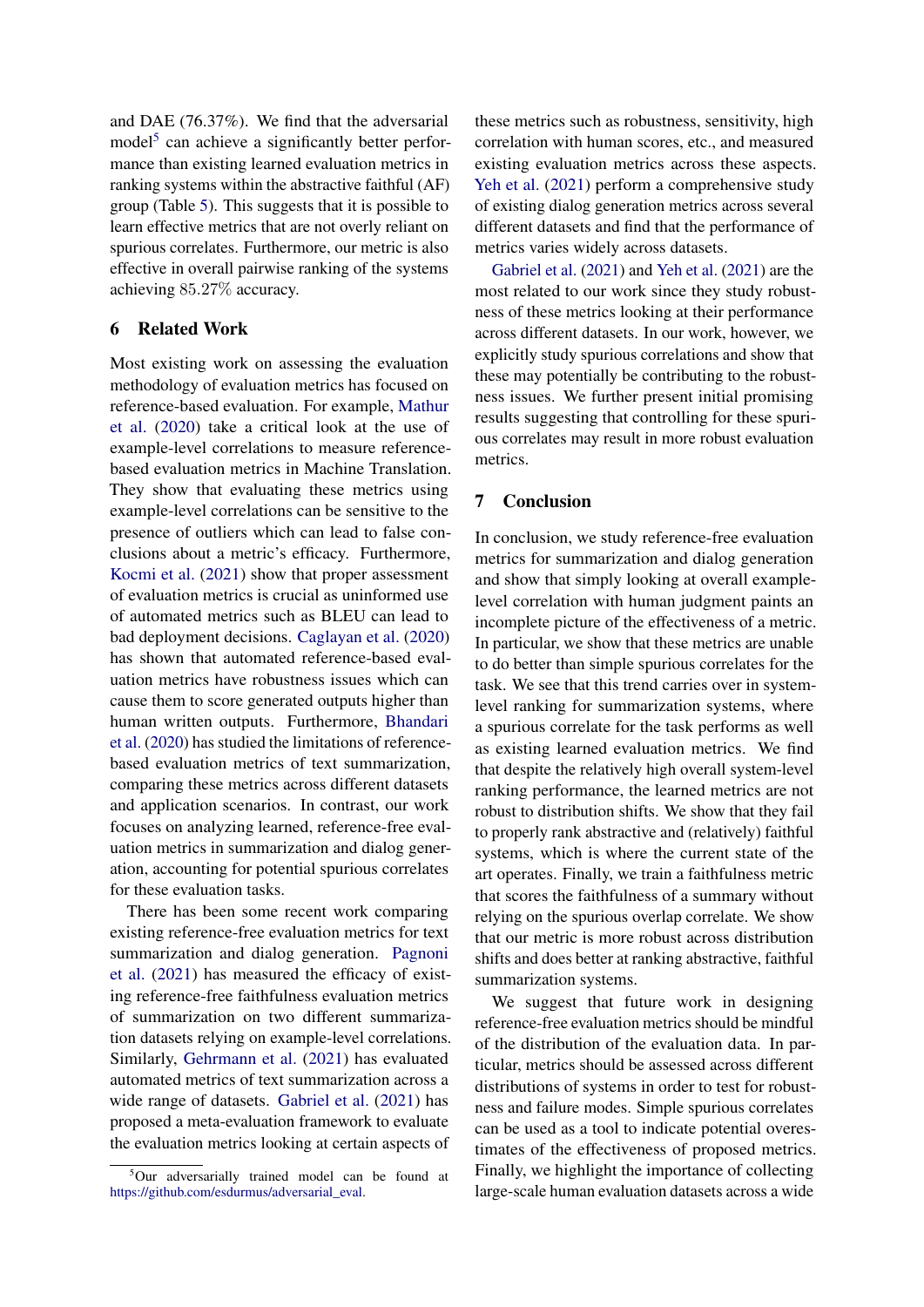and DAE (76.37%). We find that the adversarial model<sup>[5](#page-7-0)</sup> can achieve a significantly better performance than existing learned evaluation metrics in ranking systems within the abstractive faithful (AF) group (Table [5\)](#page-6-0). This suggests that it is possible to learn effective metrics that are not overly reliant on spurious correlates. Furthermore, our metric is also effective in overall pairwise ranking of the systems achieving 85.27% accuracy.

# 6 Related Work

Most existing work on assessing the evaluation methodology of evaluation metrics has focused on reference-based evaluation. For example, [Mathur](#page-10-3) [et al.](#page-10-3) [\(2020\)](#page-10-3) take a critical look at the use of example-level correlations to measure referencebased evaluation metrics in Machine Translation. They show that evaluating these metrics using example-level correlations can be sensitive to the presence of outliers which can lead to false conclusions about a metric's efficacy. Furthermore, [Kocmi et al.](#page-9-2) [\(2021\)](#page-9-2) show that proper assessment of evaluation metrics is crucial as uninformed use of automated metrics such as BLEU can lead to bad deployment decisions. [Caglayan et al.](#page-8-11) [\(2020\)](#page-8-11) has shown that automated reference-based evaluation metrics have robustness issues which can cause them to score generated outputs higher than human written outputs. Furthermore, [Bhandari](#page-8-12) [et al.](#page-8-12) [\(2020\)](#page-8-12) has studied the limitations of referencebased evaluation metrics of text summarization, comparing these metrics across different datasets and application scenarios. In contrast, our work focuses on analyzing learned, reference-free evaluation metrics in summarization and dialog generation, accounting for potential spurious correlates for these evaluation tasks.

There has been some recent work comparing existing reference-free evaluation metrics for text summarization and dialog generation. [Pagnoni](#page-10-5) [et al.](#page-10-5) [\(2021\)](#page-10-5) has measured the efficacy of existing reference-free faithfulness evaluation metrics of summarization on two different summarization datasets relying on example-level correlations. Similarly, [Gehrmann et al.](#page-8-13) [\(2021\)](#page-8-13) has evaluated automated metrics of text summarization across a wide range of datasets. [Gabriel et al.](#page-8-2) [\(2021\)](#page-8-2) has proposed a meta-evaluation framework to evaluate the evaluation metrics looking at certain aspects of

these metrics such as robustness, sensitivity, high correlation with human scores, etc., and measured existing evaluation metrics across these aspects. [Yeh et al.](#page-10-2) [\(2021\)](#page-10-2) perform a comprehensive study of existing dialog generation metrics across several different datasets and find that the performance of metrics varies widely across datasets.

[Gabriel et al.](#page-8-2) [\(2021\)](#page-8-2) and [Yeh et al.](#page-10-2) [\(2021\)](#page-10-2) are the most related to our work since they study robustness of these metrics looking at their performance across different datasets. In our work, however, we explicitly study spurious correlations and show that these may potentially be contributing to the robustness issues. We further present initial promising results suggesting that controlling for these spurious correlates may result in more robust evaluation metrics.

### 7 Conclusion

In conclusion, we study reference-free evaluation metrics for summarization and dialog generation and show that simply looking at overall examplelevel correlation with human judgment paints an incomplete picture of the effectiveness of a metric. In particular, we show that these metrics are unable to do better than simple spurious correlates for the task. We see that this trend carries over in systemlevel ranking for summarization systems, where a spurious correlate for the task performs as well as existing learned evaluation metrics. We find that despite the relatively high overall system-level ranking performance, the learned metrics are not robust to distribution shifts. We show that they fail to properly rank abstractive and (relatively) faithful systems, which is where the current state of the art operates. Finally, we train a faithfulness metric that scores the faithfulness of a summary without relying on the spurious overlap correlate. We show that our metric is more robust across distribution shifts and does better at ranking abstractive, faithful summarization systems.

We suggest that future work in designing reference-free evaluation metrics should be mindful of the distribution of the evaluation data. In particular, metrics should be assessed across different distributions of systems in order to test for robustness and failure modes. Simple spurious correlates can be used as a tool to indicate potential overestimates of the effectiveness of proposed metrics. Finally, we highlight the importance of collecting large-scale human evaluation datasets across a wide

<span id="page-7-0"></span><sup>&</sup>lt;sup>5</sup>Our adversarially trained model can be found at [https://github.com/esdurmus/adversarial\\_eval.](https://github.com/esdurmus/adversarial_eval)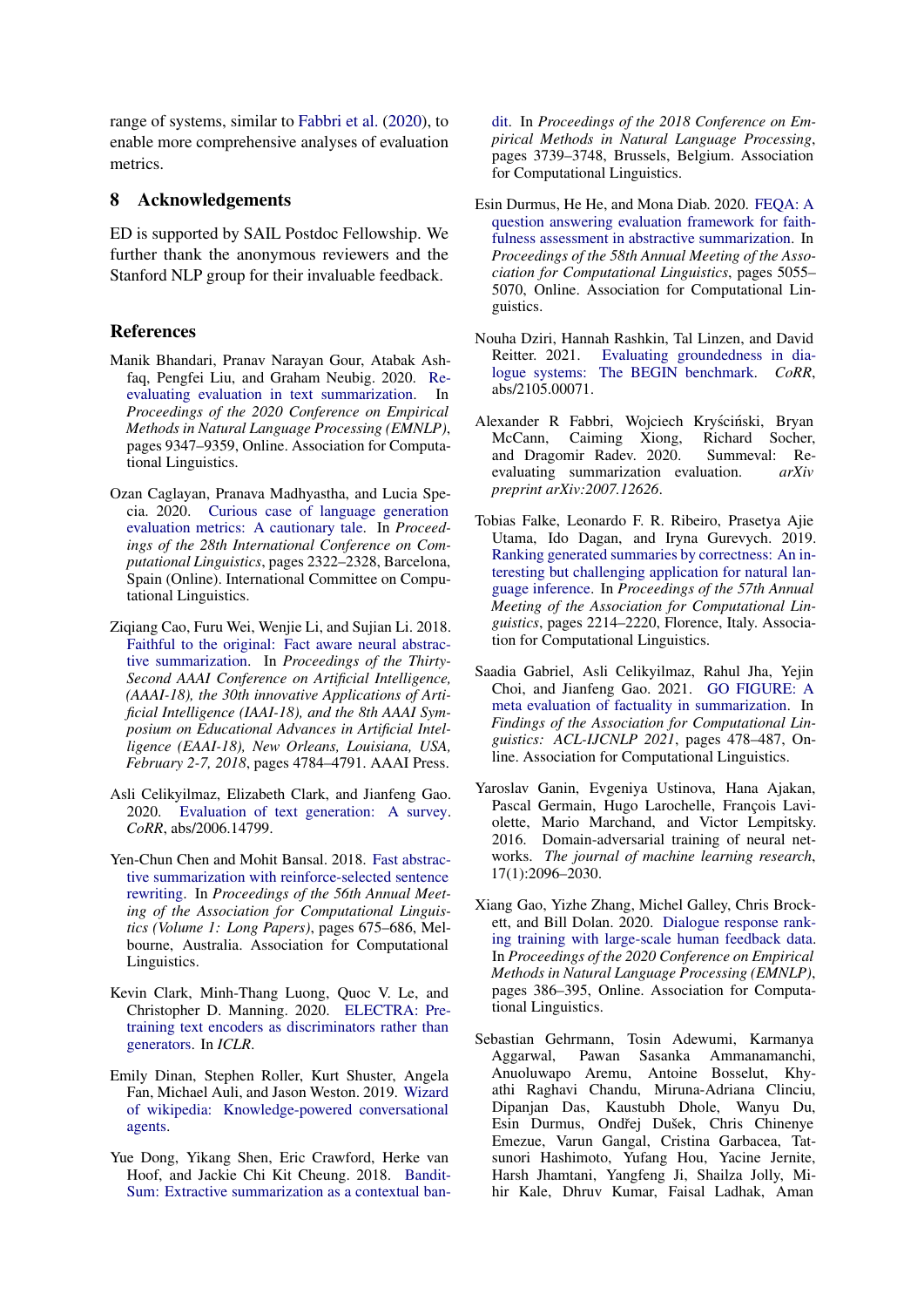range of systems, similar to [Fabbri et al.](#page-8-3) [\(2020\)](#page-8-3), to enable more comprehensive analyses of evaluation metrics.

### 8 Acknowledgements

ED is supported by SAIL Postdoc Fellowship. We further thank the anonymous reviewers and the Stanford NLP group for their invaluable feedback.

### References

- <span id="page-8-12"></span>Manik Bhandari, Pranav Narayan Gour, Atabak Ashfaq, Pengfei Liu, and Graham Neubig. 2020. [Re](https://doi.org/10.18653/v1/2020.emnlp-main.751)[evaluating evaluation in text summarization.](https://doi.org/10.18653/v1/2020.emnlp-main.751) In *Proceedings of the 2020 Conference on Empirical Methods in Natural Language Processing (EMNLP)*, pages 9347–9359, Online. Association for Computational Linguistics.
- <span id="page-8-11"></span>Ozan Caglayan, Pranava Madhyastha, and Lucia Specia. 2020. [Curious case of language generation](https://doi.org/10.18653/v1/2020.coling-main.210) [evaluation metrics: A cautionary tale.](https://doi.org/10.18653/v1/2020.coling-main.210) In *Proceedings of the 28th International Conference on Computational Linguistics*, pages 2322–2328, Barcelona, Spain (Online). International Committee on Computational Linguistics.
- <span id="page-8-4"></span>Ziqiang Cao, Furu Wei, Wenjie Li, and Sujian Li. 2018. [Faithful to the original: Fact aware neural abstrac](https://www.aaai.org/ocs/index.php/AAAI/AAAI18/paper/view/16121)[tive summarization.](https://www.aaai.org/ocs/index.php/AAAI/AAAI18/paper/view/16121) In *Proceedings of the Thirty-Second AAAI Conference on Artificial Intelligence, (AAAI-18), the 30th innovative Applications of Artificial Intelligence (IAAI-18), and the 8th AAAI Symposium on Educational Advances in Artificial Intelligence (EAAI-18), New Orleans, Louisiana, USA, February 2-7, 2018*, pages 4784–4791. AAAI Press.
- <span id="page-8-0"></span>Asli Celikyilmaz, Elizabeth Clark, and Jianfeng Gao. 2020. [Evaluation of text generation: A survey.](http://arxiv.org/abs/2006.14799) *CoRR*, abs/2006.14799.
- <span id="page-8-15"></span>Yen-Chun Chen and Mohit Bansal. 2018. [Fast abstrac](https://doi.org/10.18653/v1/P18-1063)[tive summarization with reinforce-selected sentence](https://doi.org/10.18653/v1/P18-1063) [rewriting.](https://doi.org/10.18653/v1/P18-1063) In *Proceedings of the 56th Annual Meeting of the Association for Computational Linguistics (Volume 1: Long Papers)*, pages 675–686, Melbourne, Australia. Association for Computational Linguistics.
- <span id="page-8-10"></span>Kevin Clark, Minh-Thang Luong, Quoc V. Le, and Christopher D. Manning. 2020. [ELECTRA: Pre](https://openreview.net/pdf?id=r1xMH1BtvB)[training text encoders as discriminators rather than](https://openreview.net/pdf?id=r1xMH1BtvB) [generators.](https://openreview.net/pdf?id=r1xMH1BtvB) In *ICLR*.
- <span id="page-8-8"></span>Emily Dinan, Stephen Roller, Kurt Shuster, Angela Fan, Michael Auli, and Jason Weston. 2019. [Wizard](http://arxiv.org/abs/1811.01241) [of wikipedia: Knowledge-powered conversational](http://arxiv.org/abs/1811.01241) [agents.](http://arxiv.org/abs/1811.01241)
- <span id="page-8-14"></span>Yue Dong, Yikang Shen, Eric Crawford, Herke van Hoof, and Jackie Chi Kit Cheung. 2018. [Bandit-](https://doi.org/10.18653/v1/D18-1409)[Sum: Extractive summarization as a contextual ban-](https://doi.org/10.18653/v1/D18-1409)

[dit.](https://doi.org/10.18653/v1/D18-1409) In *Proceedings of the 2018 Conference on Empirical Methods in Natural Language Processing*, pages 3739–3748, Brussels, Belgium. Association for Computational Linguistics.

- <span id="page-8-6"></span>Esin Durmus, He He, and Mona Diab. 2020. [FEQA: A](https://doi.org/10.18653/v1/2020.acl-main.454) [question answering evaluation framework for faith](https://doi.org/10.18653/v1/2020.acl-main.454)[fulness assessment in abstractive summarization.](https://doi.org/10.18653/v1/2020.acl-main.454) In *Proceedings of the 58th Annual Meeting of the Association for Computational Linguistics*, pages 5055– 5070, Online. Association for Computational Linguistics.
- <span id="page-8-7"></span>Nouha Dziri, Hannah Rashkin, Tal Linzen, and David Reitter. 2021. [Evaluating groundedness in dia](http://arxiv.org/abs/2105.00071)[logue systems: The BEGIN benchmark.](http://arxiv.org/abs/2105.00071) *CoRR*, abs/2105.00071.
- <span id="page-8-3"></span>Alexander R Fabbri, Wojciech Kryściński, Bryan McCann, Caiming Xiong, Richard Socher,<br>and Dragomir Radev. 2020. Summeval: Reand Dragomir Radev. 2020. evaluating summarization evaluation. *arXiv preprint arXiv:2007.12626*.
- <span id="page-8-5"></span>Tobias Falke, Leonardo F. R. Ribeiro, Prasetya Ajie Utama, Ido Dagan, and Iryna Gurevych. 2019. [Ranking generated summaries by correctness: An in](https://doi.org/10.18653/v1/P19-1213)[teresting but challenging application for natural lan](https://doi.org/10.18653/v1/P19-1213)[guage inference.](https://doi.org/10.18653/v1/P19-1213) In *Proceedings of the 57th Annual Meeting of the Association for Computational Linguistics*, pages 2214–2220, Florence, Italy. Association for Computational Linguistics.
- <span id="page-8-2"></span>Saadia Gabriel, Asli Celikyilmaz, Rahul Jha, Yejin Choi, and Jianfeng Gao. 2021. [GO FIGURE: A](https://doi.org/10.18653/v1/2021.findings-acl.42) [meta evaluation of factuality in summarization.](https://doi.org/10.18653/v1/2021.findings-acl.42) In *Findings of the Association for Computational Linguistics: ACL-IJCNLP 2021*, pages 478–487, Online. Association for Computational Linguistics.
- <span id="page-8-9"></span>Yaroslav Ganin, Evgeniya Ustinova, Hana Ajakan, Pascal Germain, Hugo Larochelle, François Laviolette, Mario Marchand, and Victor Lempitsky. 2016. Domain-adversarial training of neural networks. *The journal of machine learning research*, 17(1):2096–2030.
- <span id="page-8-1"></span>Xiang Gao, Yizhe Zhang, Michel Galley, Chris Brockett, and Bill Dolan. 2020. [Dialogue response rank](https://doi.org/10.18653/v1/2020.emnlp-main.28)[ing training with large-scale human feedback data.](https://doi.org/10.18653/v1/2020.emnlp-main.28) In *Proceedings of the 2020 Conference on Empirical Methods in Natural Language Processing (EMNLP)*, pages 386–395, Online. Association for Computational Linguistics.
- <span id="page-8-13"></span>Sebastian Gehrmann, Tosin Adewumi, Karmanya Aggarwal, Pawan Sasanka Ammanamanchi, Anuoluwapo Aremu, Antoine Bosselut, Khyathi Raghavi Chandu, Miruna-Adriana Clinciu, Dipanjan Das, Kaustubh Dhole, Wanyu Du, Esin Durmus, Ondřej Dušek, Chris Chinenye Emezue, Varun Gangal, Cristina Garbacea, Tatsunori Hashimoto, Yufang Hou, Yacine Jernite, Harsh Jhamtani, Yangfeng Ji, Shailza Jolly, Mihir Kale, Dhruv Kumar, Faisal Ladhak, Aman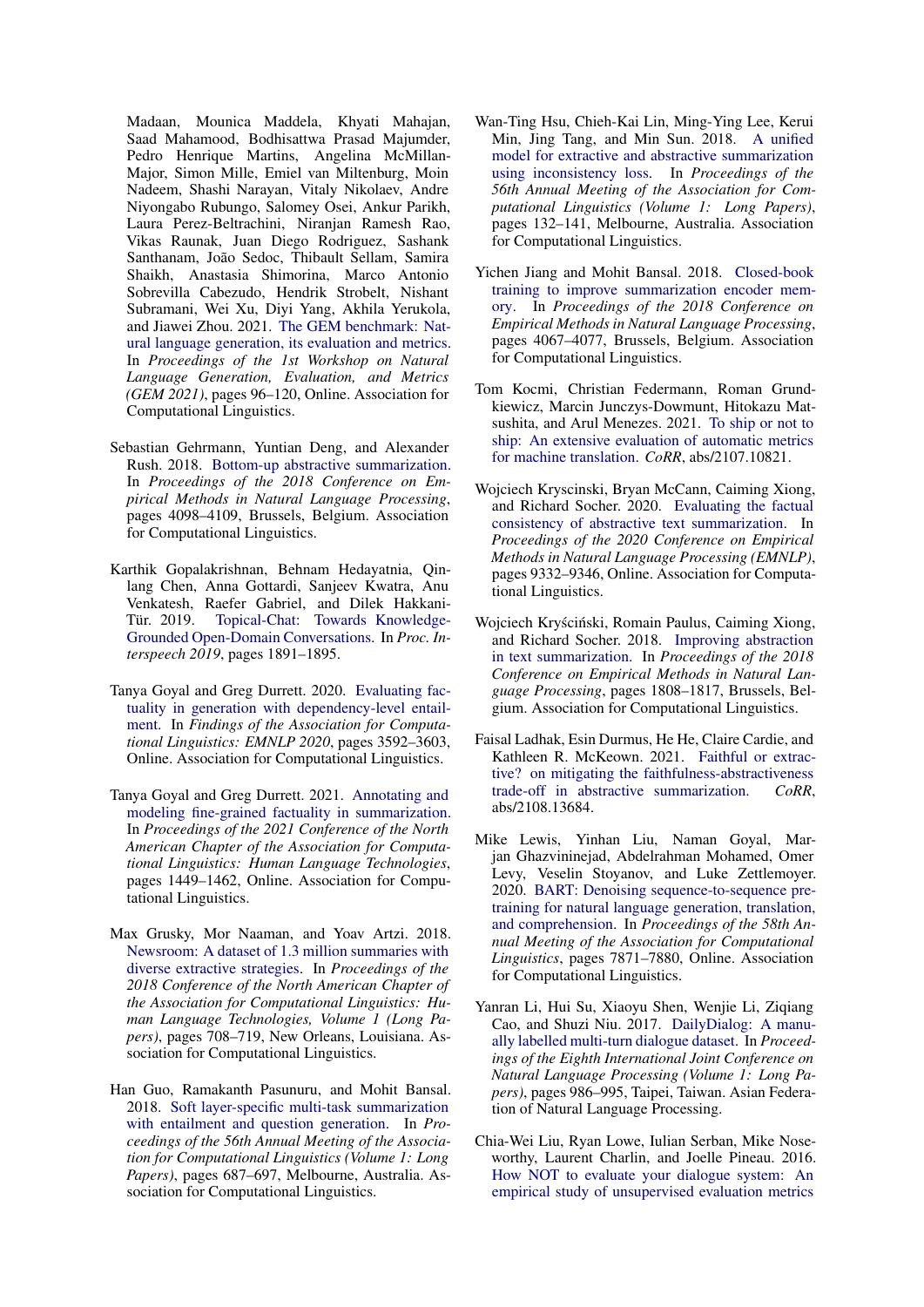Madaan, Mounica Maddela, Khyati Mahajan, Saad Mahamood, Bodhisattwa Prasad Majumder, Pedro Henrique Martins, Angelina McMillan-Major, Simon Mille, Emiel van Miltenburg, Moin Nadeem, Shashi Narayan, Vitaly Nikolaev, Andre Niyongabo Rubungo, Salomey Osei, Ankur Parikh, Laura Perez-Beltrachini, Niranjan Ramesh Rao, Vikas Raunak, Juan Diego Rodriguez, Sashank Santhanam, João Sedoc, Thibault Sellam, Samira Shaikh, Anastasia Shimorina, Marco Antonio Sobrevilla Cabezudo, Hendrik Strobelt, Nishant Subramani, Wei Xu, Diyi Yang, Akhila Yerukola, and Jiawei Zhou. 2021. [The GEM benchmark: Nat](https://doi.org/10.18653/v1/2021.gem-1.10)[ural language generation, its evaluation and metrics.](https://doi.org/10.18653/v1/2021.gem-1.10) In *Proceedings of the 1st Workshop on Natural Language Generation, Evaluation, and Metrics (GEM 2021)*, pages 96–120, Online. Association for Computational Linguistics.

- <span id="page-9-9"></span>Sebastian Gehrmann, Yuntian Deng, and Alexander Rush. 2018. [Bottom-up abstractive summarization.](https://doi.org/10.18653/v1/D18-1443) In *Proceedings of the 2018 Conference on Empirical Methods in Natural Language Processing*, pages 4098–4109, Brussels, Belgium. Association for Computational Linguistics.
- <span id="page-9-8"></span>Karthik Gopalakrishnan, Behnam Hedayatnia, Qinlang Chen, Anna Gottardi, Sanjeev Kwatra, Anu Venkatesh, Raefer Gabriel, and Dilek Hakkani-[Topical-Chat: Towards Knowledge-](https://doi.org/10.21437/Interspeech.2019-3079)[Grounded Open-Domain Conversations.](https://doi.org/10.21437/Interspeech.2019-3079) In *Proc. Interspeech 2019*, pages 1891–1895.
- <span id="page-9-1"></span>Tanya Goyal and Greg Durrett. 2020. [Evaluating fac](https://doi.org/10.18653/v1/2020.findings-emnlp.322)[tuality in generation with dependency-level entail](https://doi.org/10.18653/v1/2020.findings-emnlp.322)[ment.](https://doi.org/10.18653/v1/2020.findings-emnlp.322) In *Findings of the Association for Computational Linguistics: EMNLP 2020*, pages 3592–3603, Online. Association for Computational Linguistics.
- <span id="page-9-3"></span>Tanya Goyal and Greg Durrett. 2021. [Annotating and](https://doi.org/10.18653/v1/2021.naacl-main.114) [modeling fine-grained factuality in summarization.](https://doi.org/10.18653/v1/2021.naacl-main.114) In *Proceedings of the 2021 Conference of the North American Chapter of the Association for Computational Linguistics: Human Language Technologies*, pages 1449–1462, Online. Association for Computational Linguistics.
- <span id="page-9-5"></span>Max Grusky, Mor Naaman, and Yoav Artzi. 2018. [Newsroom: A dataset of 1.3 million summaries with](https://doi.org/10.18653/v1/N18-1065) [diverse extractive strategies.](https://doi.org/10.18653/v1/N18-1065) In *Proceedings of the 2018 Conference of the North American Chapter of the Association for Computational Linguistics: Human Language Technologies, Volume 1 (Long Papers)*, pages 708–719, New Orleans, Louisiana. Association for Computational Linguistics.
- <span id="page-9-12"></span>Han Guo, Ramakanth Pasunuru, and Mohit Bansal. 2018. [Soft layer-specific multi-task summarization](https://doi.org/10.18653/v1/P18-1064) [with entailment and question generation.](https://doi.org/10.18653/v1/P18-1064) In *Proceedings of the 56th Annual Meeting of the Association for Computational Linguistics (Volume 1: Long Papers)*, pages 687–697, Melbourne, Australia. Association for Computational Linguistics.
- <span id="page-9-11"></span>Wan-Ting Hsu, Chieh-Kai Lin, Ming-Ying Lee, Kerui Min, Jing Tang, and Min Sun. 2018. [A unified](https://doi.org/10.18653/v1/P18-1013) [model for extractive and abstractive summarization](https://doi.org/10.18653/v1/P18-1013) [using inconsistency loss.](https://doi.org/10.18653/v1/P18-1013) In *Proceedings of the 56th Annual Meeting of the Association for Computational Linguistics (Volume 1: Long Papers)*, pages 132–141, Melbourne, Australia. Association for Computational Linguistics.
- <span id="page-9-13"></span>Yichen Jiang and Mohit Bansal. 2018. [Closed-book](https://doi.org/10.18653/v1/D18-1440) [training to improve summarization encoder mem](https://doi.org/10.18653/v1/D18-1440)[ory.](https://doi.org/10.18653/v1/D18-1440) In *Proceedings of the 2018 Conference on Empirical Methods in Natural Language Processing*, pages 4067–4077, Brussels, Belgium. Association for Computational Linguistics.
- <span id="page-9-2"></span>Tom Kocmi, Christian Federmann, Roman Grundkiewicz, Marcin Junczys-Dowmunt, Hitokazu Matsushita, and Arul Menezes. 2021. [To ship or not to](http://arxiv.org/abs/2107.10821) [ship: An extensive evaluation of automatic metrics](http://arxiv.org/abs/2107.10821) [for machine translation.](http://arxiv.org/abs/2107.10821) *CoRR*, abs/2107.10821.
- <span id="page-9-0"></span>Wojciech Kryscinski, Bryan McCann, Caiming Xiong, and Richard Socher. 2020. [Evaluating the factual](https://doi.org/10.18653/v1/2020.emnlp-main.750) [consistency of abstractive text summarization.](https://doi.org/10.18653/v1/2020.emnlp-main.750) In *Proceedings of the 2020 Conference on Empirical Methods in Natural Language Processing (EMNLP)*, pages 9332–9346, Online. Association for Computational Linguistics.
- <span id="page-9-10"></span>Wojciech Kryściński, Romain Paulus, Caiming Xiong, and Richard Socher. 2018. [Improving abstraction](https://doi.org/10.18653/v1/D18-1207) [in text summarization.](https://doi.org/10.18653/v1/D18-1207) In *Proceedings of the 2018 Conference on Empirical Methods in Natural Language Processing*, pages 1808–1817, Brussels, Belgium. Association for Computational Linguistics.
- <span id="page-9-4"></span>Faisal Ladhak, Esin Durmus, He He, Claire Cardie, and Kathleen R. McKeown. 2021. [Faithful or extrac](http://arxiv.org/abs/2108.13684)[tive? on mitigating the faithfulness-abstractiveness](http://arxiv.org/abs/2108.13684) [trade-off in abstractive summarization.](http://arxiv.org/abs/2108.13684) *CoRR*, abs/2108.13684.
- <span id="page-9-14"></span>Mike Lewis, Yinhan Liu, Naman Goyal, Marjan Ghazvininejad, Abdelrahman Mohamed, Omer Levy, Veselin Stoyanov, and Luke Zettlemoyer. 2020. [BART: Denoising sequence-to-sequence pre](https://doi.org/10.18653/v1/2020.acl-main.703)[training for natural language generation, translation,](https://doi.org/10.18653/v1/2020.acl-main.703) [and comprehension.](https://doi.org/10.18653/v1/2020.acl-main.703) In *Proceedings of the 58th Annual Meeting of the Association for Computational Linguistics*, pages 7871–7880, Online. Association for Computational Linguistics.
- <span id="page-9-7"></span>Yanran Li, Hui Su, Xiaoyu Shen, Wenjie Li, Ziqiang Cao, and Shuzi Niu. 2017. [DailyDialog: A manu](https://aclanthology.org/I17-1099)[ally labelled multi-turn dialogue dataset.](https://aclanthology.org/I17-1099) In *Proceedings of the Eighth International Joint Conference on Natural Language Processing (Volume 1: Long Papers)*, pages 986–995, Taipei, Taiwan. Asian Federation of Natural Language Processing.
- <span id="page-9-6"></span>Chia-Wei Liu, Ryan Lowe, Iulian Serban, Mike Noseworthy, Laurent Charlin, and Joelle Pineau. 2016. [How NOT to evaluate your dialogue system: An](https://doi.org/10.18653/v1/D16-1230) [empirical study of unsupervised evaluation metrics](https://doi.org/10.18653/v1/D16-1230)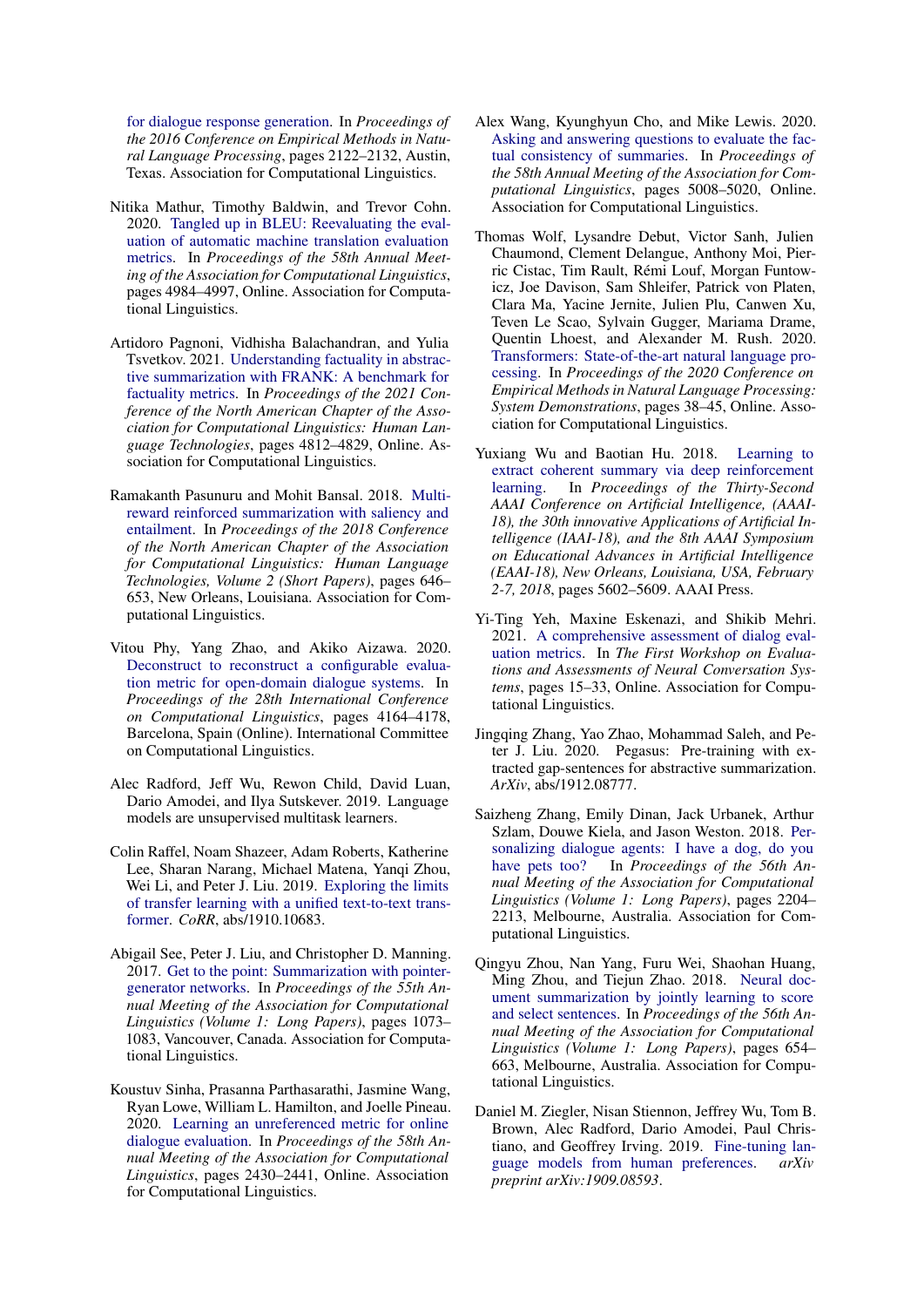[for dialogue response generation.](https://doi.org/10.18653/v1/D16-1230) In *Proceedings of the 2016 Conference on Empirical Methods in Natural Language Processing*, pages 2122–2132, Austin, Texas. Association for Computational Linguistics.

- <span id="page-10-3"></span>Nitika Mathur, Timothy Baldwin, and Trevor Cohn. 2020. [Tangled up in BLEU: Reevaluating the eval](https://doi.org/10.18653/v1/2020.acl-main.448)[uation of automatic machine translation evaluation](https://doi.org/10.18653/v1/2020.acl-main.448) [metrics.](https://doi.org/10.18653/v1/2020.acl-main.448) In *Proceedings of the 58th Annual Meeting of the Association for Computational Linguistics*, pages 4984–4997, Online. Association for Computational Linguistics.
- <span id="page-10-5"></span>Artidoro Pagnoni, Vidhisha Balachandran, and Yulia Tsvetkov. 2021. [Understanding factuality in abstrac](https://doi.org/10.18653/v1/2021.naacl-main.383)[tive summarization with FRANK: A benchmark for](https://doi.org/10.18653/v1/2021.naacl-main.383) [factuality metrics.](https://doi.org/10.18653/v1/2021.naacl-main.383) In *Proceedings of the 2021 Conference of the North American Chapter of the Association for Computational Linguistics: Human Language Technologies*, pages 4812–4829, Online. Association for Computational Linguistics.
- <span id="page-10-12"></span>Ramakanth Pasunuru and Mohit Bansal. 2018. [Multi](https://doi.org/10.18653/v1/N18-2102)[reward reinforced summarization with saliency and](https://doi.org/10.18653/v1/N18-2102) [entailment.](https://doi.org/10.18653/v1/N18-2102) In *Proceedings of the 2018 Conference of the North American Chapter of the Association for Computational Linguistics: Human Language Technologies, Volume 2 (Short Papers)*, pages 646– 653, New Orleans, Louisiana. Association for Computational Linguistics.
- <span id="page-10-1"></span>Vitou Phy, Yang Zhao, and Akiko Aizawa. 2020. [Deconstruct to reconstruct a configurable evalua](https://doi.org/10.18653/v1/2020.coling-main.368)[tion metric for open-domain dialogue systems.](https://doi.org/10.18653/v1/2020.coling-main.368) In *Proceedings of the 28th International Conference on Computational Linguistics*, pages 4164–4178, Barcelona, Spain (Online). International Committee on Computational Linguistics.
- <span id="page-10-8"></span>Alec Radford, Jeff Wu, Rewon Child, David Luan, Dario Amodei, and Ilya Sutskever. 2019. Language models are unsupervised multitask learners.
- <span id="page-10-13"></span>Colin Raffel, Noam Shazeer, Adam Roberts, Katherine Lee, Sharan Narang, Michael Matena, Yanqi Zhou, Wei Li, and Peter J. Liu. 2019. [Exploring the limits](http://arxiv.org/abs/1910.10683) [of transfer learning with a unified text-to-text trans](http://arxiv.org/abs/1910.10683)[former.](http://arxiv.org/abs/1910.10683) *CoRR*, abs/1910.10683.
- <span id="page-10-6"></span>Abigail See, Peter J. Liu, and Christopher D. Manning. 2017. [Get to the point: Summarization with pointer](https://doi.org/10.18653/v1/P17-1099)[generator networks.](https://doi.org/10.18653/v1/P17-1099) In *Proceedings of the 55th Annual Meeting of the Association for Computational Linguistics (Volume 1: Long Papers)*, pages 1073– 1083, Vancouver, Canada. Association for Computational Linguistics.
- <span id="page-10-0"></span>Koustuv Sinha, Prasanna Parthasarathi, Jasmine Wang, Ryan Lowe, William L. Hamilton, and Joelle Pineau. 2020. [Learning an unreferenced metric for online](https://doi.org/10.18653/v1/2020.acl-main.220) [dialogue evaluation.](https://doi.org/10.18653/v1/2020.acl-main.220) In *Proceedings of the 58th Annual Meeting of the Association for Computational Linguistics*, pages 2430–2441, Online. Association for Computational Linguistics.
- <span id="page-10-4"></span>Alex Wang, Kyunghyun Cho, and Mike Lewis. 2020. [Asking and answering questions to evaluate the fac](https://doi.org/10.18653/v1/2020.acl-main.450)[tual consistency of summaries.](https://doi.org/10.18653/v1/2020.acl-main.450) In *Proceedings of the 58th Annual Meeting of the Association for Computational Linguistics*, pages 5008–5020, Online. Association for Computational Linguistics.
- <span id="page-10-9"></span>Thomas Wolf, Lysandre Debut, Victor Sanh, Julien Chaumond, Clement Delangue, Anthony Moi, Pierric Cistac, Tim Rault, Rémi Louf, Morgan Funtowicz, Joe Davison, Sam Shleifer, Patrick von Platen, Clara Ma, Yacine Jernite, Julien Plu, Canwen Xu, Teven Le Scao, Sylvain Gugger, Mariama Drame, Quentin Lhoest, and Alexander M. Rush. 2020. [Transformers: State-of-the-art natural language pro](https://www.aclweb.org/anthology/2020.emnlp-demos.6)[cessing.](https://www.aclweb.org/anthology/2020.emnlp-demos.6) In *Proceedings of the 2020 Conference on Empirical Methods in Natural Language Processing: System Demonstrations*, pages 38–45, Online. Association for Computational Linguistics.
- <span id="page-10-11"></span>Yuxiang Wu and Baotian Hu. 2018. [Learning to](https://www.aaai.org/ocs/index.php/AAAI/AAAI18/paper/view/16838) [extract coherent summary via deep reinforcement](https://www.aaai.org/ocs/index.php/AAAI/AAAI18/paper/view/16838) [learning.](https://www.aaai.org/ocs/index.php/AAAI/AAAI18/paper/view/16838) In *Proceedings of the Thirty-Second AAAI Conference on Artificial Intelligence, (AAAI-18), the 30th innovative Applications of Artificial Intelligence (IAAI-18), and the 8th AAAI Symposium on Educational Advances in Artificial Intelligence (EAAI-18), New Orleans, Louisiana, USA, February 2-7, 2018*, pages 5602–5609. AAAI Press.
- <span id="page-10-2"></span>Yi-Ting Yeh, Maxine Eskenazi, and Shikib Mehri. 2021. [A comprehensive assessment of dialog eval](https://doi.org/10.18653/v1/2021.eancs-1.3)[uation metrics.](https://doi.org/10.18653/v1/2021.eancs-1.3) In *The First Workshop on Evaluations and Assessments of Neural Conversation Systems*, pages 15–33, Online. Association for Computational Linguistics.
- <span id="page-10-15"></span>Jingqing Zhang, Yao Zhao, Mohammad Saleh, and Peter J. Liu. 2020. Pegasus: Pre-training with extracted gap-sentences for abstractive summarization. *ArXiv*, abs/1912.08777.
- <span id="page-10-7"></span>Saizheng Zhang, Emily Dinan, Jack Urbanek, Arthur Szlam, Douwe Kiela, and Jason Weston. 2018. [Per](https://doi.org/10.18653/v1/P18-1205)[sonalizing dialogue agents: I have a dog, do you](https://doi.org/10.18653/v1/P18-1205) [have pets too?](https://doi.org/10.18653/v1/P18-1205) In *Proceedings of the 56th Annual Meeting of the Association for Computational Linguistics (Volume 1: Long Papers)*, pages 2204– 2213, Melbourne, Australia. Association for Computational Linguistics.
- <span id="page-10-10"></span>Qingyu Zhou, Nan Yang, Furu Wei, Shaohan Huang, Ming Zhou, and Tiejun Zhao. 2018. [Neural doc](https://doi.org/10.18653/v1/P18-1061)[ument summarization by jointly learning to score](https://doi.org/10.18653/v1/P18-1061) [and select sentences.](https://doi.org/10.18653/v1/P18-1061) In *Proceedings of the 56th Annual Meeting of the Association for Computational Linguistics (Volume 1: Long Papers)*, pages 654– 663, Melbourne, Australia. Association for Computational Linguistics.
- <span id="page-10-14"></span>Daniel M. Ziegler, Nisan Stiennon, Jeffrey Wu, Tom B. Brown, Alec Radford, Dario Amodei, Paul Christiano, and Geoffrey Irving. 2019. [Fine-tuning lan](https://arxiv.org/abs/1909.08593)[guage models from human preferences.](https://arxiv.org/abs/1909.08593) *arXiv preprint arXiv:1909.08593*.